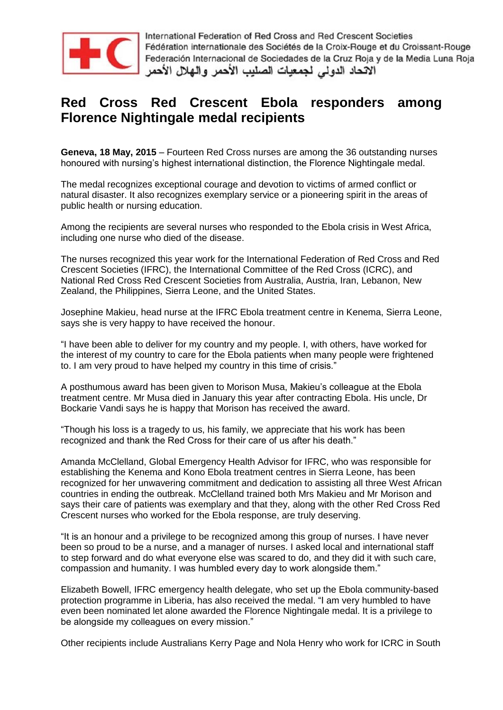

# **Red Cross Red Crescent Ebola responders among Florence Nightingale medal recipients**

**Geneva, 18 May, 2015** – Fourteen Red Cross nurses are among the 36 outstanding nurses honoured with nursing's highest international distinction, the Florence Nightingale medal.

The medal recognizes exceptional courage and devotion to victims of armed conflict or natural disaster. It also recognizes exemplary service or a pioneering spirit in the areas of public health or nursing education.

Among the recipients are several nurses who responded to the Ebola crisis in West Africa, including one nurse who died of the disease.

The nurses recognized this year work for the International Federation of Red Cross and Red Crescent Societies (IFRC), the International Committee of the Red Cross (ICRC), and National Red Cross Red Crescent Societies from Australia, Austria, Iran, Lebanon, New Zealand, the Philippines, Sierra Leone, and the United States.

Josephine Makieu, head nurse at the IFRC Ebola treatment centre in Kenema, Sierra Leone, says she is very happy to have received the honour.

"I have been able to deliver for my country and my people. I, with others, have worked for the interest of my country to care for the Ebola patients when many people were frightened to. I am very proud to have helped my country in this time of crisis."

A posthumous award has been given to Morison Musa, Makieu's colleague at the Ebola treatment centre. Mr Musa died in January this year after contracting Ebola. His uncle, Dr Bockarie Vandi says he is happy that Morison has received the award.

"Though his loss is a tragedy to us, his family, we appreciate that his work has been recognized and thank the Red Cross for their care of us after his death."

Amanda McClelland, Global Emergency Health Advisor for IFRC, who was responsible for establishing the Kenema and Kono Ebola treatment centres in Sierra Leone, has been recognized for her unwavering commitment and dedication to assisting all three West African countries in ending the outbreak. McClelland trained both Mrs Makieu and Mr Morison and says their care of patients was exemplary and that they, along with the other Red Cross Red Crescent nurses who worked for the Ebola response, are truly deserving.

"It is an honour and a privilege to be recognized among this group of nurses. I have never been so proud to be a nurse, and a manager of nurses. I asked local and international staff to step forward and do what everyone else was scared to do, and they did it with such care, compassion and humanity. I was humbled every day to work alongside them."

Elizabeth Bowell, IFRC emergency health delegate, who set up the Ebola community-based protection programme in Liberia, has also received the medal. "I am very humbled to have even been nominated let alone awarded the Florence Nightingale medal. It is a privilege to be alongside my colleagues on every mission."

Other recipients include Australians Kerry Page and Nola Henry who work for ICRC in South